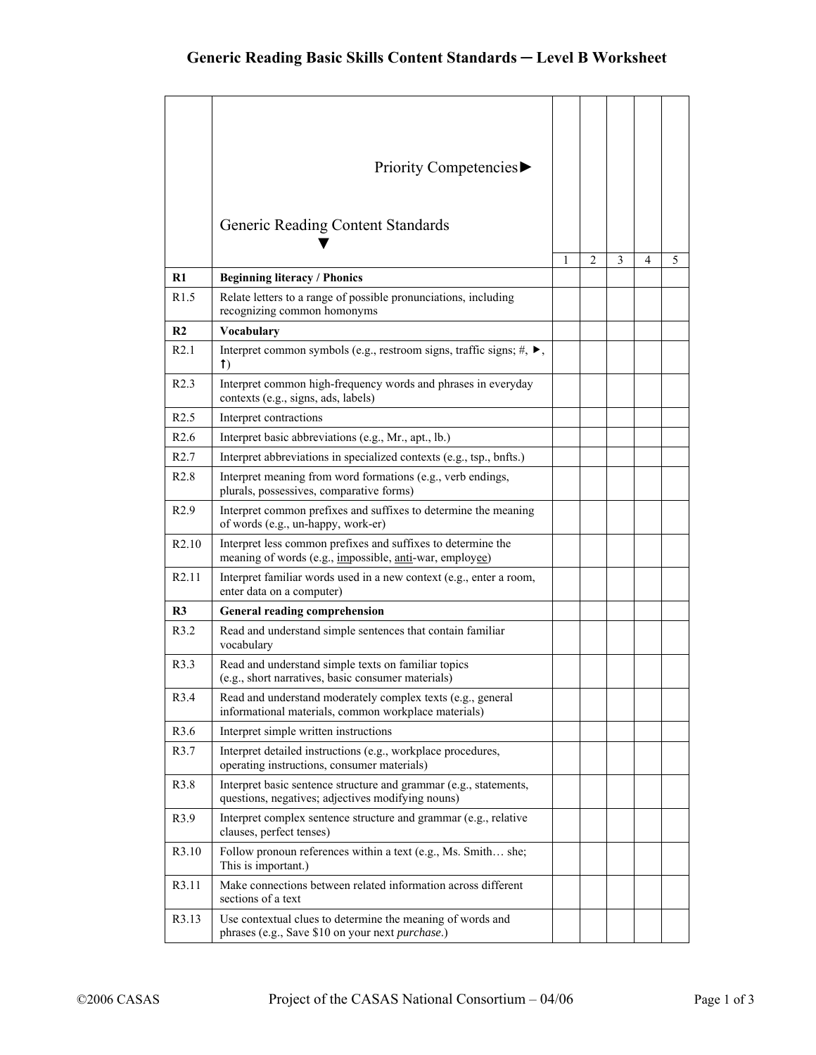|                   | Priority Competencies▶<br>Generic Reading Content Standards                                                                                     |   |                |   |   |   |
|-------------------|-------------------------------------------------------------------------------------------------------------------------------------------------|---|----------------|---|---|---|
|                   |                                                                                                                                                 |   |                |   |   |   |
| R1                | <b>Beginning literacy / Phonics</b>                                                                                                             | 1 | $\overline{c}$ | 3 | 4 | 5 |
| R <sub>1.5</sub>  | Relate letters to a range of possible pronunciations, including<br>recognizing common homonyms                                                  |   |                |   |   |   |
| R <sub>2</sub>    | Vocabulary                                                                                                                                      |   |                |   |   |   |
| R2.1              | Interpret common symbols (e.g., restroom signs, traffic signs; $#$ , $\blacktriangleright$ ,<br>$\uparrow$                                      |   |                |   |   |   |
| R2.3              | Interpret common high-frequency words and phrases in everyday<br>contexts (e.g., signs, ads, labels)                                            |   |                |   |   |   |
| R2.5              | Interpret contractions                                                                                                                          |   |                |   |   |   |
| R <sub>2.6</sub>  | Interpret basic abbreviations (e.g., Mr., apt., lb.)                                                                                            |   |                |   |   |   |
| R2.7              | Interpret abbreviations in specialized contexts (e.g., tsp., bnfts.)                                                                            |   |                |   |   |   |
| R2.8              | Interpret meaning from word formations (e.g., verb endings,<br>plurals, possessives, comparative forms)                                         |   |                |   |   |   |
| R2.9              | Interpret common prefixes and suffixes to determine the meaning<br>of words (e.g., un-happy, work-er)                                           |   |                |   |   |   |
| R <sub>2.10</sub> | Interpret less common prefixes and suffixes to determine the<br>meaning of words (e.g., <i>impossible</i> , <i>anti</i> -war, <i>employee</i> ) |   |                |   |   |   |
| R <sub>2.11</sub> | Interpret familiar words used in a new context (e.g., enter a room,<br>enter data on a computer)                                                |   |                |   |   |   |
| R <sub>3</sub>    | <b>General reading comprehension</b>                                                                                                            |   |                |   |   |   |
| R3.2              | Read and understand simple sentences that contain familiar<br>vocabulary                                                                        |   |                |   |   |   |
| R3.3              | Read and understand simple texts on familiar topics<br>(e.g., short narratives, basic consumer materials)                                       |   |                |   |   |   |
| R3.4              | Read and understand moderately complex texts (e.g., general<br>informational materials, common workplace materials)                             |   |                |   |   |   |
| R3.6              | Interpret simple written instructions                                                                                                           |   |                |   |   |   |
| R3.7              | Interpret detailed instructions (e.g., workplace procedures,<br>operating instructions, consumer materials)                                     |   |                |   |   |   |
| R3.8              | Interpret basic sentence structure and grammar (e.g., statements,<br>questions, negatives; adjectives modifying nouns)                          |   |                |   |   |   |
| R3.9              | Interpret complex sentence structure and grammar (e.g., relative<br>clauses, perfect tenses)                                                    |   |                |   |   |   |
| R3.10             | Follow pronoun references within a text (e.g., Ms. Smith she;<br>This is important.)                                                            |   |                |   |   |   |
| R3.11             | Make connections between related information across different<br>sections of a text                                                             |   |                |   |   |   |
| R3.13             | Use contextual clues to determine the meaning of words and<br>phrases (e.g., Save \$10 on your next purchase.)                                  |   |                |   |   |   |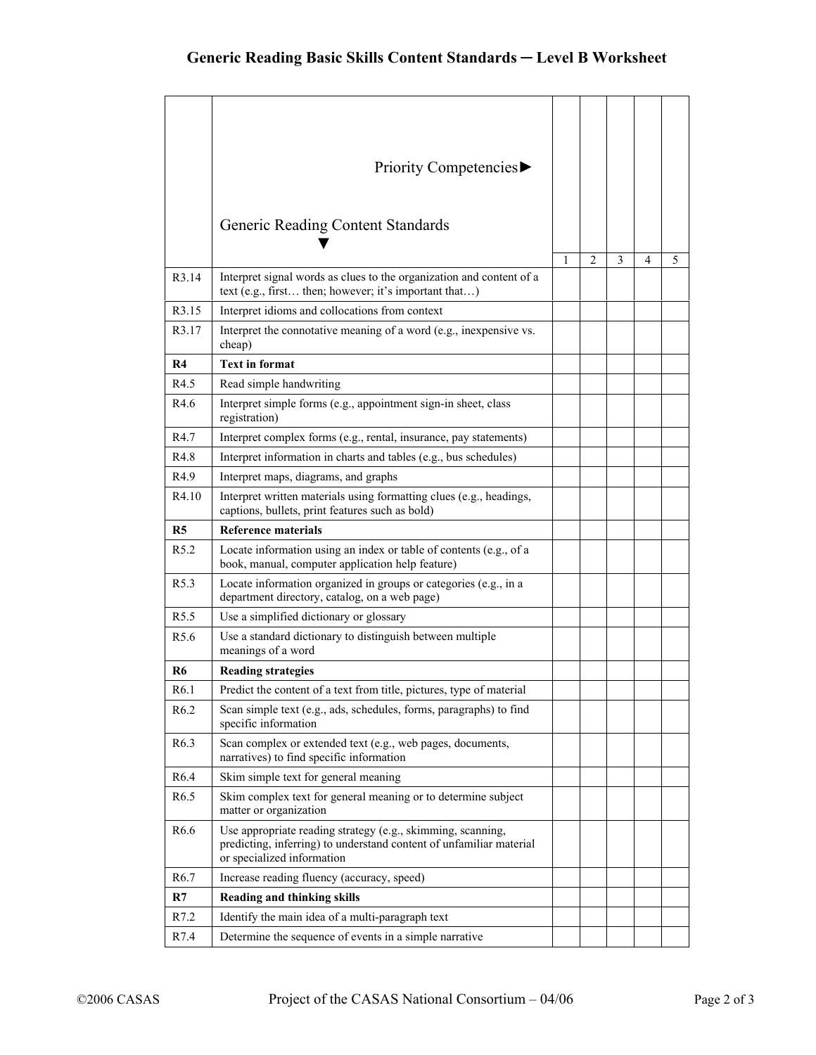|                  | Priority Competencies▶                                                                                                                                           |   |   |   |   |   |
|------------------|------------------------------------------------------------------------------------------------------------------------------------------------------------------|---|---|---|---|---|
|                  | Generic Reading Content Standards                                                                                                                                |   |   |   |   |   |
| R3.14            | Interpret signal words as clues to the organization and content of a<br>text (e.g., first then; however; it's important that)                                    | 1 | 2 | 3 | 4 | 5 |
| R3.15            | Interpret idioms and collocations from context                                                                                                                   |   |   |   |   |   |
| R3.17            | Interpret the connotative meaning of a word (e.g., inexpensive vs.<br>cheap)                                                                                     |   |   |   |   |   |
| R4               | <b>Text in format</b>                                                                                                                                            |   |   |   |   |   |
| R4.5             | Read simple handwriting                                                                                                                                          |   |   |   |   |   |
| R4.6             | Interpret simple forms (e.g., appointment sign-in sheet, class<br>registration)                                                                                  |   |   |   |   |   |
| R4.7             | Interpret complex forms (e.g., rental, insurance, pay statements)                                                                                                |   |   |   |   |   |
| R4.8             | Interpret information in charts and tables (e.g., bus schedules)                                                                                                 |   |   |   |   |   |
| R <sub>4.9</sub> | Interpret maps, diagrams, and graphs                                                                                                                             |   |   |   |   |   |
| R4.10            | Interpret written materials using formatting clues (e.g., headings,<br>captions, bullets, print features such as bold)                                           |   |   |   |   |   |
|                  |                                                                                                                                                                  |   |   |   |   |   |
| R <sub>5</sub>   | Reference materials                                                                                                                                              |   |   |   |   |   |
| R <sub>5.2</sub> | Locate information using an index or table of contents (e.g., of a<br>book, manual, computer application help feature)                                           |   |   |   |   |   |
| R <sub>5.3</sub> | Locate information organized in groups or categories (e.g., in a<br>department directory, catalog, on a web page)                                                |   |   |   |   |   |
| R <sub>5.5</sub> | Use a simplified dictionary or glossary                                                                                                                          |   |   |   |   |   |
| R <sub>5.6</sub> | Use a standard dictionary to distinguish between multiple<br>meanings of a word                                                                                  |   |   |   |   |   |
| R6               | <b>Reading strategies</b>                                                                                                                                        |   |   |   |   |   |
| R <sub>6.1</sub> | Predict the content of a text from title, pictures, type of material                                                                                             |   |   |   |   |   |
| R <sub>6.2</sub> | Scan simple text (e.g., ads, schedules, forms, paragraphs) to find<br>specific information                                                                       |   |   |   |   |   |
| R <sub>6.3</sub> | Scan complex or extended text (e.g., web pages, documents,<br>narratives) to find specific information                                                           |   |   |   |   |   |
| R <sub>6.4</sub> | Skim simple text for general meaning                                                                                                                             |   |   |   |   |   |
| R <sub>6.5</sub> | Skim complex text for general meaning or to determine subject<br>matter or organization                                                                          |   |   |   |   |   |
| R <sub>6.6</sub> | Use appropriate reading strategy (e.g., skimming, scanning,<br>predicting, inferring) to understand content of unfamiliar material<br>or specialized information |   |   |   |   |   |
| R <sub>6.7</sub> | Increase reading fluency (accuracy, speed)                                                                                                                       |   |   |   |   |   |
| R7               | Reading and thinking skills                                                                                                                                      |   |   |   |   |   |
| R7.2<br>R7.4     | Identify the main idea of a multi-paragraph text<br>Determine the sequence of events in a simple narrative                                                       |   |   |   |   |   |